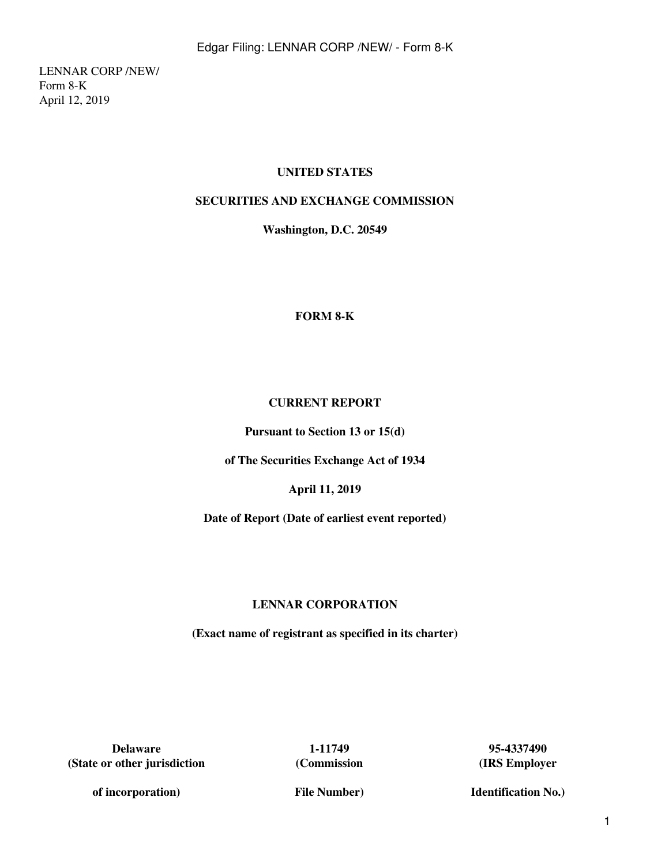LENNAR CORP /NEW/ Form 8-K April 12, 2019

# **UNITED STATES**

# **SECURITIES AND EXCHANGE COMMISSION**

**Washington, D.C. 20549**

## **FORM 8-K**

## **CURRENT REPORT**

**Pursuant to Section 13 or 15(d)**

**of The Securities Exchange Act of 1934**

**April 11, 2019**

**Date of Report (Date of earliest event reported)**

## **LENNAR CORPORATION**

**(Exact name of registrant as specified in its charter)**

**Delaware 1-11749 95-4337490 (State or other jurisdiction**

**(Commission**

**(IRS Employer**

**Identification No.)**

**of incorporation)**

**File Number)**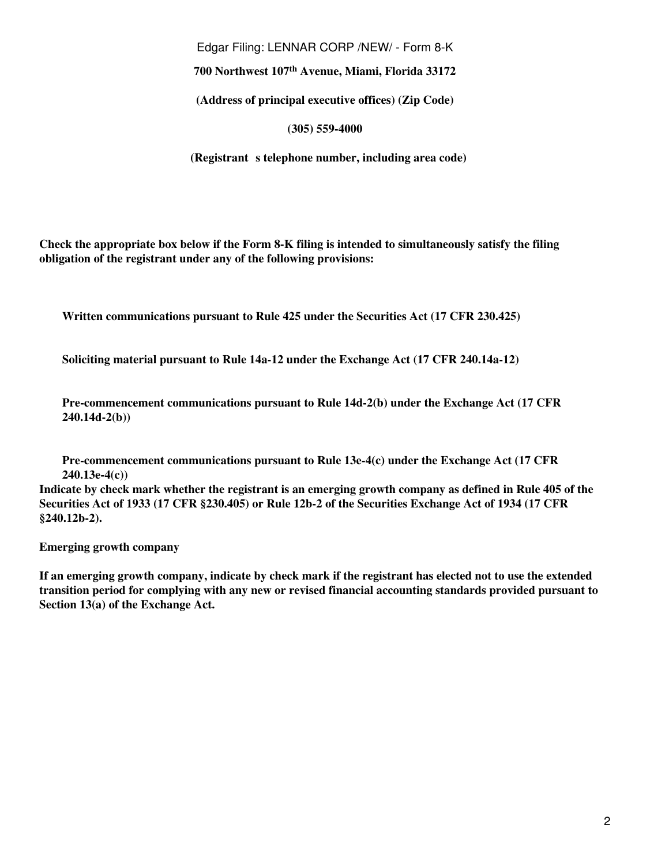Edgar Filing: LENNAR CORP /NEW/ - Form 8-K

**700 Northwest 107th Avenue, Miami, Florida 33172**

**(Address of principal executive offices) (Zip Code)**

**(305) 559-4000**

**(Registrant s telephone number, including area code)** 

**Check the appropriate box below if the Form 8-K filing is intended to simultaneously satisfy the filing obligation of the registrant under any of the following provisions:**

**Written communications pursuant to Rule 425 under the Securities Act (17 CFR 230.425)**

**Soliciting material pursuant to Rule 14a-12 under the Exchange Act (17 CFR 240.14a-12)**

**Pre-commencement communications pursuant to Rule 14d-2(b) under the Exchange Act (17 CFR 240.14d-2(b))**

**Pre-commencement communications pursuant to Rule 13e-4(c) under the Exchange Act (17 CFR 240.13e-4(c))**

**Indicate by check mark whether the registrant is an emerging growth company as defined in Rule 405 of the Securities Act of 1933 (17 CFR §230.405) or Rule 12b-2 of the Securities Exchange Act of 1934 (17 CFR §240.12b-2).**

**Emerging growth company** 

**If an emerging growth company, indicate by check mark if the registrant has elected not to use the extended transition period for complying with any new or revised financial accounting standards provided pursuant to Section 13(a) of the Exchange Act.**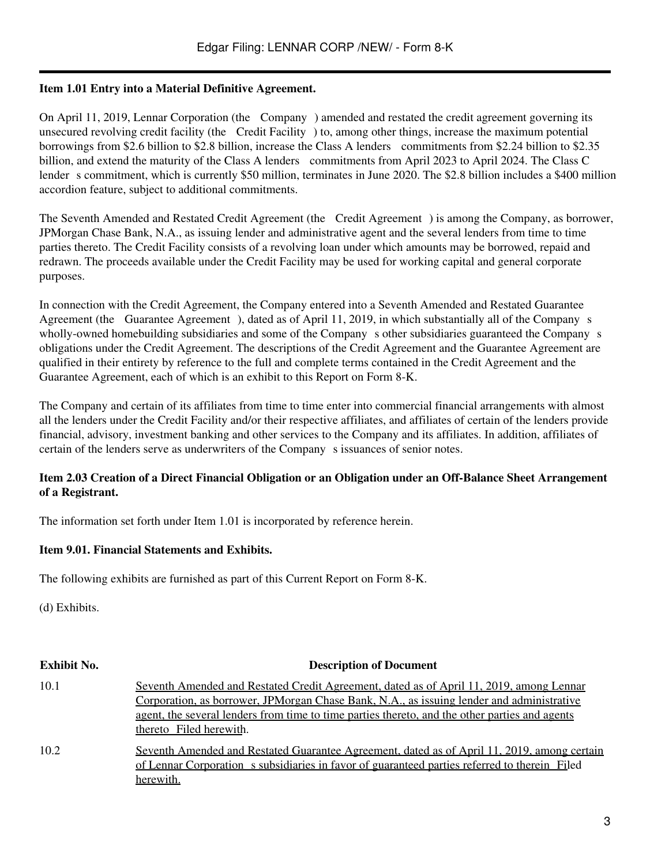## **Item 1.01 Entry into a Material Definitive Agreement.**

On April 11, 2019, Lennar Corporation (the Company) amended and restated the credit agreement governing its unsecured revolving credit facility (the Credit Facility) to, among other things, increase the maximum potential borrowings from \$2.6 billion to \$2.8 billion, increase the Class A lenders commitments from \$2.24 billion to \$2.35 billion, and extend the maturity of the Class A lenders commitments from April 2023 to April 2024. The Class C lender s commitment, which is currently \$50 million, terminates in June 2020. The \$2.8 billion includes a \$400 million accordion feature, subject to additional commitments.

The Seventh Amended and Restated Credit Agreement (the Credit Agreement) is among the Company, as borrower, JPMorgan Chase Bank, N.A., as issuing lender and administrative agent and the several lenders from time to time parties thereto. The Credit Facility consists of a revolving loan under which amounts may be borrowed, repaid and redrawn. The proceeds available under the Credit Facility may be used for working capital and general corporate purposes.

In connection with the Credit Agreement, the Company entered into a Seventh Amended and Restated Guarantee Agreement (the Guarantee Agreement), dated as of April 11, 2019, in which substantially all of the Company s wholly-owned homebuilding subsidiaries and some of the Company s other subsidiaries guaranteed the Company s obligations under the Credit Agreement. The descriptions of the Credit Agreement and the Guarantee Agreement are qualified in their entirety by reference to the full and complete terms contained in the Credit Agreement and the Guarantee Agreement, each of which is an exhibit to this Report on Form 8-K.

The Company and certain of its affiliates from time to time enter into commercial financial arrangements with almost all the lenders under the Credit Facility and/or their respective affiliates, and affiliates of certain of the lenders provide financial, advisory, investment banking and other services to the Company and its affiliates. In addition, affiliates of certain of the lenders serve as underwriters of the Company s issuances of senior notes.

## **Item 2.03 Creation of a Direct Financial Obligation or an Obligation under an Off-Balance Sheet Arrangement of a Registrant.**

The information set forth under Item 1.01 is incorporated by reference herein.

#### **Item 9.01. Financial Statements and Exhibits.**

The following exhibits are furnished as part of this Current Report on Form 8-K.

(d) Exhibits.

| <b>Exhibit No.</b> | <b>Description of Document</b>                                                                                                                                                                                                                                                                                    |
|--------------------|-------------------------------------------------------------------------------------------------------------------------------------------------------------------------------------------------------------------------------------------------------------------------------------------------------------------|
| 10.1               | Seventh Amended and Restated Credit Agreement, dated as of April 11, 2019, among Lennar<br>Corporation, as borrower, JPMorgan Chase Bank, N.A., as issuing lender and administrative<br>agent, the several lenders from time to time parties thereto, and the other parties and agents<br>thereto Filed herewith. |
| 10.2               | Seventh Amended and Restated Guarantee Agreement, dated as of April 11, 2019, among certain<br>of Lennar Corporation s subsidiaries in favor of guaranteed parties referred to therein Filed<br>herewith.                                                                                                         |